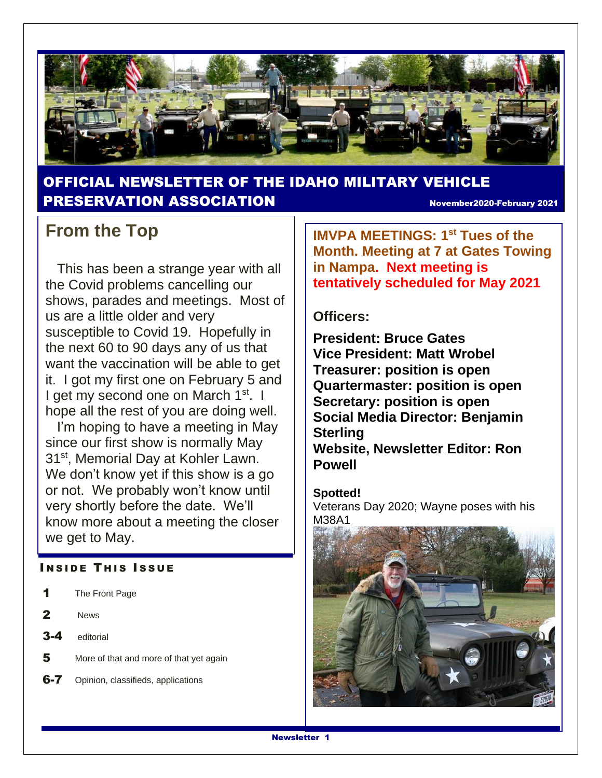

### OFFICIAL NEWSLETTER OF THE IDAHO MILITARY VEHICLE PRESERVATION ASSOCIATION November2020-February 2021

### **From the Top**

 This has been a strange year with all the Covid problems cancelling our shows, parades and meetings. Most of us are a little older and very susceptible to Covid 19. Hopefully in the next 60 to 90 days any of us that want the vaccination will be able to get it. I got my first one on February 5 and I get my second one on March 1<sup>st</sup>. I hope all the rest of you are doing well.

 I'm hoping to have a meeting in May since our first show is normally May 31<sup>st</sup>, Memorial Day at Kohler Lawn. We don't know yet if this show is a go or not. We probably won't know until very shortly before the date. We'll know more about a meeting the closer we get to May.

#### **INSIDE THIS ISSUE**

- 1 The Front Page
- 2 News
- 3-4 editorial
- 5 More of that and more of that yet again
- **6-7** Opinion, classifieds, applications

**IMVPA MEETINGS: 1st Tues of the Month. Meeting at 7 at Gates Towing in Nampa. Next meeting is tentatively scheduled for May 2021**

#### **Officers:**

**President: Bruce Gates Vice President: Matt Wrobel Treasurer: position is open Quartermaster: position is open Secretary: position is open Social Media Director: Benjamin Sterling Website, Newsletter Editor: Ron Powell**

#### **Spotted!**

Veterans Day 2020; Wayne poses with his M38A1

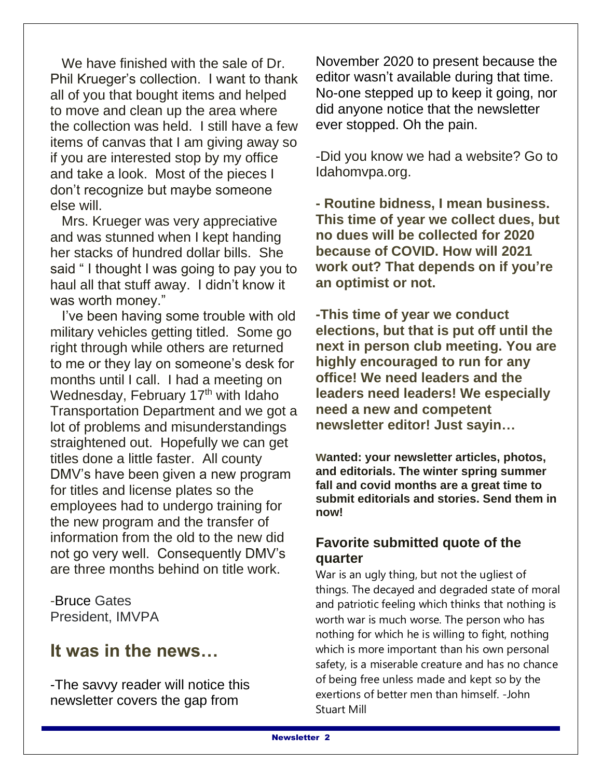We have finished with the sale of Dr. Phil Krueger's collection. I want to thank all of you that bought items and helped to move and clean up the area where the collection was held. I still have a few items of canvas that I am giving away so if you are interested stop by my office and take a look. Most of the pieces I don't recognize but maybe someone else will.

 Mrs. Krueger was very appreciative and was stunned when I kept handing her stacks of hundred dollar bills. She said " I thought I was going to pay you to haul all that stuff away. I didn't know it was worth money."

 I've been having some trouble with old military vehicles getting titled. Some go right through while others are returned to me or they lay on someone's desk for months until I call. I had a meeting on Wednesday, February 17<sup>th</sup> with Idaho Transportation Department and we got a lot of problems and misunderstandings straightened out. Hopefully we can get titles done a little faster. All county DMV's have been given a new program for titles and license plates so the employees had to undergo training for the new program and the transfer of information from the old to the new did not go very well. Consequently DMV's are three months behind on title work.

-Bruce Gates President, IMVPA

### **It was in the news…**

-The savvy reader will notice this newsletter covers the gap from

November 2020 to present because the editor wasn't available during that time. No-one stepped up to keep it going, nor did anyone notice that the newsletter ever stopped. Oh the pain.

-Did you know we had a website? Go to Idahomvpa.org.

**- Routine bidness, I mean business. This time of year we collect dues, but no dues will be collected for 2020 because of COVID. How will 2021 work out? That depends on if you're an optimist or not.**

**-This time of year we conduct elections, but that is put off until the next in person club meeting. You are highly encouraged to run for any office! We need leaders and the leaders need leaders! We especially need a new and competent newsletter editor! Just sayin…**

**wanted: your newsletter articles, photos, and editorials. The winter spring summer fall and covid months are a great time to submit editorials and stories. Send them in now!**

### **Favorite submitted quote of the quarter**

War is an ugly thing, but not the ugliest of things. The decayed and degraded state of moral and patriotic feeling which thinks that nothing is worth war is much worse. The person who has nothing for which he is willing to fight, nothing which is more important than his own personal safety, is a miserable creature and has no chance of being free unless made and kept so by the exertions of better men than himself. -John Stuart Mill

❖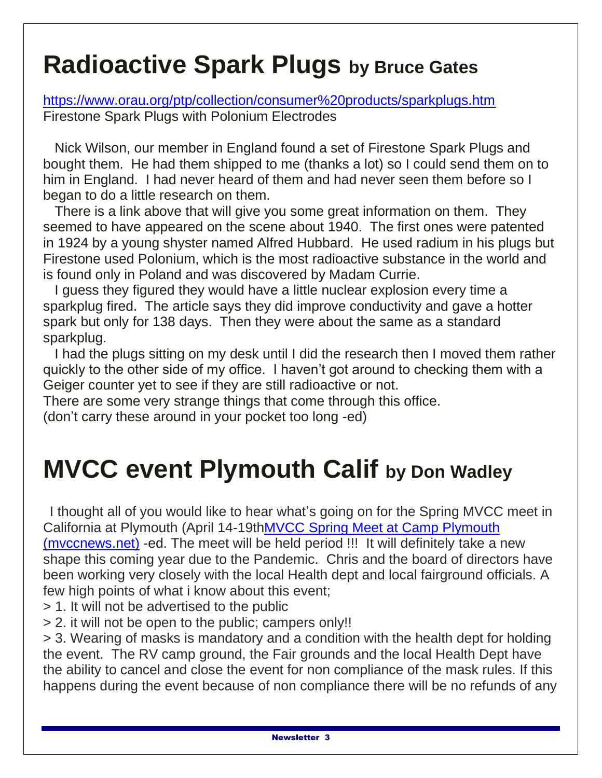# **Radioactive Spark Plugs by Bruce Gates**

<https://www.orau.org/ptp/collection/consumer%20products/sparkplugs.htm> Firestone Spark Plugs with Polonium Electrodes

 Nick Wilson, our member in England found a set of Firestone Spark Plugs and bought them. He had them shipped to me (thanks a lot) so I could send them on to him in England. I had never heard of them and had never seen them before so I began to do a little research on them.

 There is a link above that will give you some great information on them. They seemed to have appeared on the scene about 1940. The first ones were patented in 1924 by a young shyster named Alfred Hubbard. He used radium in his plugs but Firestone used Polonium, which is the most radioactive substance in the world and is found only in Poland and was discovered by Madam Currie.

 I guess they figured they would have a little nuclear explosion every time a sparkplug fired. The article says they did improve conductivity and gave a hotter spark but only for 138 days. Then they were about the same as a standard sparkplug.

 I had the plugs sitting on my desk until I did the research then I moved them rather quickly to the other side of my office. I haven't got around to checking them with a Geiger counter yet to see if they are still radioactive or not.

There are some very strange things that come through this office.

(don't carry these around in your pocket too long -ed)

# **MVCC event Plymouth Calif by Don Wadley**

 I thought all of you would like to hear what's going on for the Spring MVCC meet in California at Plymouth (April 14-19t[hMVCC Spring Meet at Camp Plymouth](http://www.mvccnews.net/spring-meet.html)  [\(mvccnews.net\)](http://www.mvccnews.net/spring-meet.html) -ed. The meet will be held period !!! It will definitely take a new shape this coming year due to the Pandemic. Chris and the board of directors have been working very closely with the local Health dept and local fairground officials. A few high points of what i know about this event;

- > 1. It will not be advertised to the public
- > 2. it will not be open to the public; campers only!!

> 3. Wearing of masks is mandatory and a condition with the health dept for holding the event. The RV camp ground, the Fair grounds and the local Health Dept have the ability to cancel and close the event for non compliance of the mask rules. If this happens during the event because of non compliance there will be no refunds of any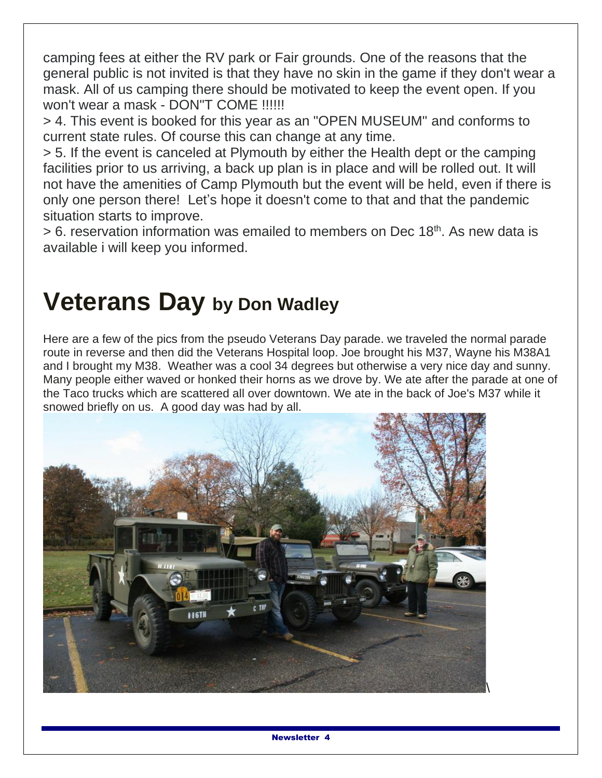camping fees at either the RV park or Fair grounds. One of the reasons that the general public is not invited is that they have no skin in the game if they don't wear a mask. All of us camping there should be motivated to keep the event open. If you won't wear a mask - DON"T COME !!!!!!

> 4. This event is booked for this year as an "OPEN MUSEUM" and conforms to current state rules. Of course this can change at any time.

> 5. If the event is canceled at Plymouth by either the Health dept or the camping facilities prior to us arriving, a back up plan is in place and will be rolled out. It will not have the amenities of Camp Plymouth but the event will be held, even if there is only one person there! Let's hope it doesn't come to that and that the pandemic situation starts to improve.

> 6. reservation information was emailed to members on Dec 18<sup>th</sup>. As new data is available i will keep you informed.

# **Veterans Day by Don Wadley**

Here are a few of the pics from the pseudo Veterans Day parade. we traveled the normal parade route in reverse and then did the Veterans Hospital loop. Joe brought his M37, Wayne his M38A1 and I brought my M38. Weather was a cool 34 degrees but otherwise a very nice day and sunny. Many people either waved or honked their horns as we drove by. We ate after the parade at one of the Taco trucks which are scattered all over downtown. We ate in the back of Joe's M37 while it snowed briefly on us. A good day was had by all.

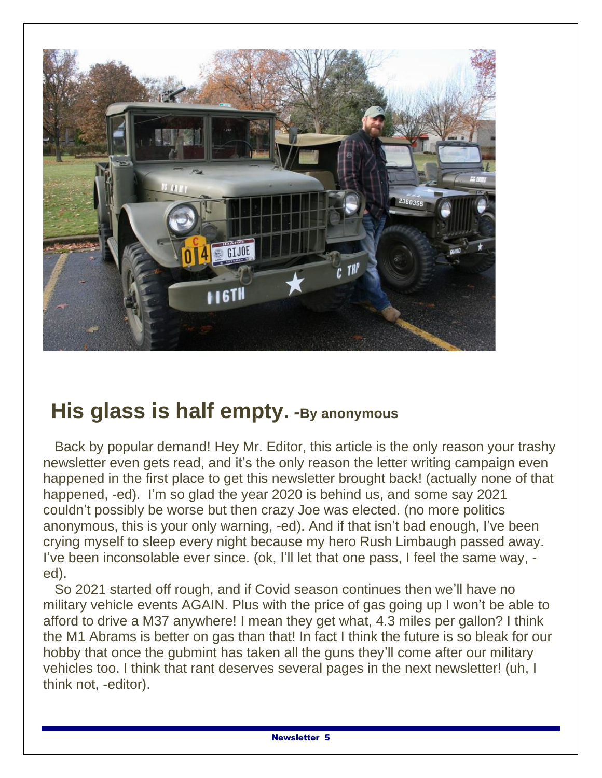

## **His glass is half empty. -By anonymous**

 Back by popular demand! Hey Mr. Editor, this article is the only reason your trashy newsletter even gets read, and it's the only reason the letter writing campaign even happened in the first place to get this newsletter brought back! (actually none of that happened, -ed). I'm so glad the year 2020 is behind us, and some say 2021 couldn't possibly be worse but then crazy Joe was elected. (no more politics anonymous, this is your only warning, -ed). And if that isn't bad enough, I've been crying myself to sleep every night because my hero Rush Limbaugh passed away. I've been inconsolable ever since. (ok, I'll let that one pass, I feel the same way, ed).

 So 2021 started off rough, and if Covid season continues then we'll have no military vehicle events AGAIN. Plus with the price of gas going up I won't be able to afford to drive a M37 anywhere! I mean they get what, 4.3 miles per gallon? I think the M1 Abrams is better on gas than that! In fact I think the future is so bleak for our hobby that once the gubmint has taken all the guns they'll come after our military vehicles too. I think that rant deserves several pages in the next newsletter! (uh, I think not, -editor).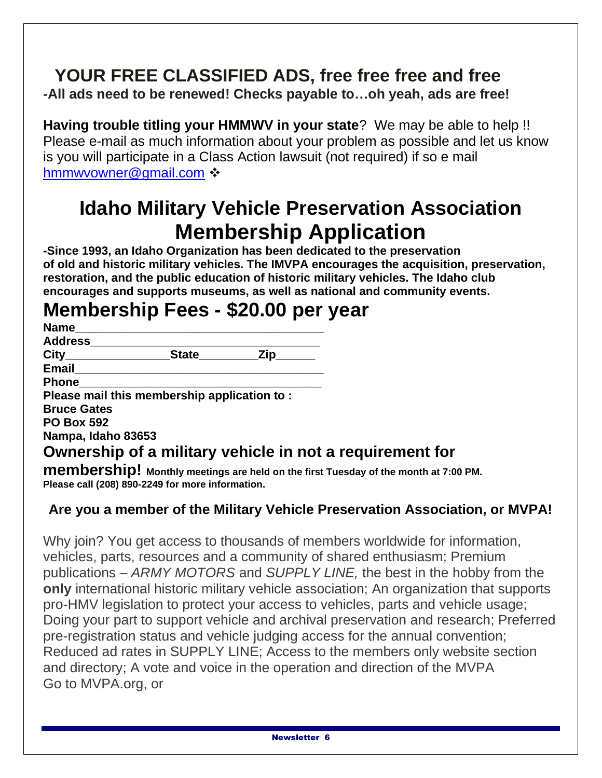### **YOUR FREE CLASSIFIED ADS, free free free and free -All ads need to be renewed! Checks payable to…oh yeah, ads are free!**

**Having trouble titling your HMMWV in your state**? We may be able to help !! Please e-mail as much information about your problem as possible and let us know is you will participate in a Class Action lawsuit (not required) if so e mail [hmmwvowner@gmail.com](mailto:hmmwvowner@gmail.com) ❖

## **Idaho Military Vehicle Preservation Association Membership Application**

**-Since 1993, an Idaho Organization has been dedicated to the preservation of old and historic military vehicles. The IMVPA encourages the acquisition, preservation, restoration, and the public education of historic military vehicles. The Idaho club encourages and supports museums, as well as national and community events.**

## **Membership Fees - \$20.00 per year**

| <b>Name</b>        |                                             |           |                                                          |
|--------------------|---------------------------------------------|-----------|----------------------------------------------------------|
| <b>Address</b>     |                                             |           |                                                          |
| City_____________  |                                             | State Zip |                                                          |
| Email              |                                             |           |                                                          |
| <b>Phone</b>       |                                             |           |                                                          |
|                    | Please mail this membership application to: |           |                                                          |
| <b>Bruce Gates</b> |                                             |           |                                                          |
| <b>PO Box 592</b>  |                                             |           |                                                          |
| Nampa, Idaho 83653 |                                             |           |                                                          |
|                    |                                             |           | Ownership of a military vehicle in not a requirement for |
|                    |                                             |           |                                                          |

**membership! Monthly meetings are held on the first Tuesday of the month at 7:00 PM. Please call (208) 890-2249 for more information.**

### **Are you a member of the Military Vehicle Preservation Association, or MVPA!**

Why join? You get access to thousands of members worldwide for information, vehicles, parts, resources and a community of shared enthusiasm; Premium publications – *ARMY MOTORS* and *SUPPLY LINE,* the best in the hobby from the **only** international historic military vehicle association; An organization that supports pro-HMV legislation to protect your access to vehicles, parts and vehicle usage; Doing your part to support vehicle and archival preservation and research; Preferred pre-registration status and vehicle judging access for the annual convention; Reduced ad rates in SUPPLY LINE; Access to the members only website section and directory; A vote and voice in the operation and direction of the MVPA Go to MVPA.org, or